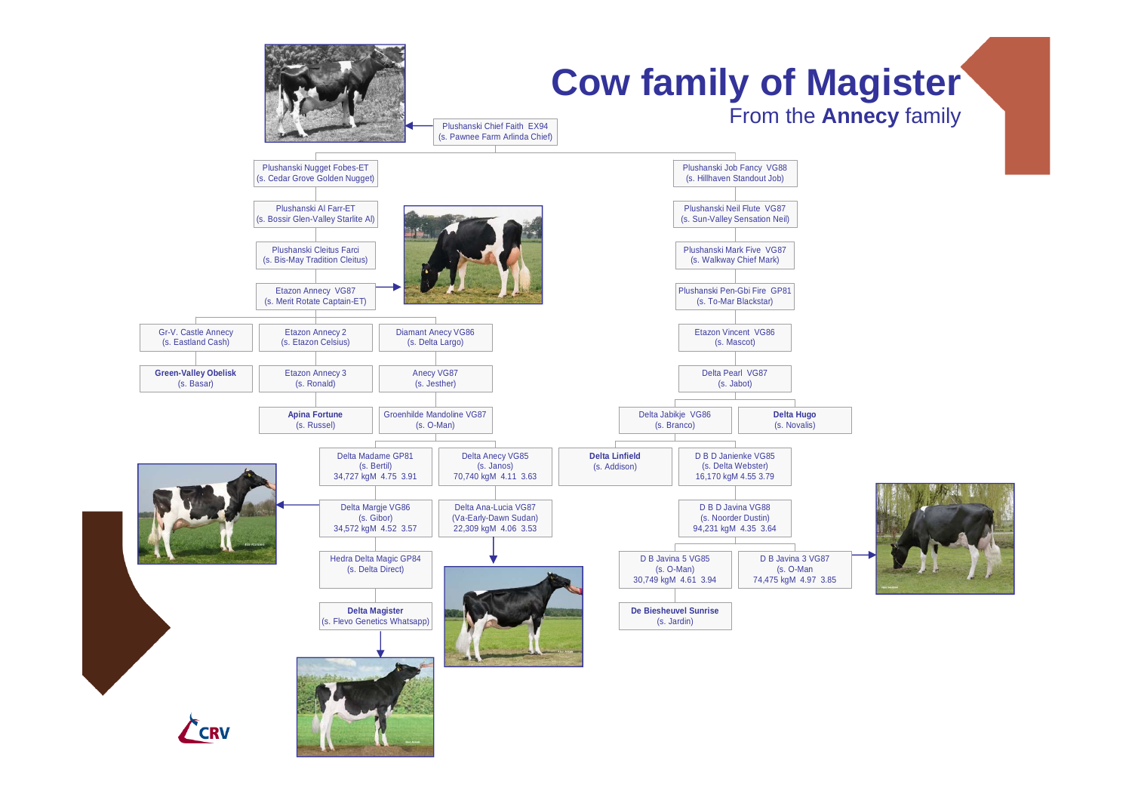